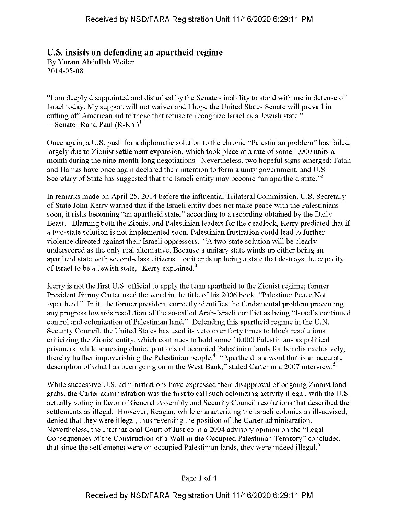## **U.S. insists on defending an apartheid regime**

By Yuram Abdullah Weiler 2014-05-08

"I am deeply disappointed and disturbed by the Senate's inability to stand with me in defense of Israel today. My support will not waiver and I hope the United States Senate will prevail in cutting off American aid to those that refuse to recognize Israel as a Jewish state." —Senator Rand Paul  $(R-KY)^1$ 

Once again, a U.S. push for a diplomatic solution to the chronic "Palestinian problem" has failed, largely due to Zionist settlement expansion, which took place at a rate of some 1,000 units a month during the nine-month-long negotiations. Nevertheless, two hopeful signs emerged: Fatah and Hamas have once again declared their intention to form a unity government, and U.S. Secretary of State has suggested that the Israeli entity may become "an apartheid state."<sup>2</sup>

In remarks made on April 25, 2014 before the influential Trilateral Commission, U.S. Secretary of State John Kerry warned that ifthe Israeli entity does not make peace with the Palestinians soon, it risks becoming "an apartheid state," according to a recording obtained by the Daily Beast. Blaming both the Zionist and Palestinian leaders for the deadlock, Kerry predicted that if a two-state solution is not implemented soon, Palestinian frustration could lead to further violence directed against their Israeli oppressors. "A two-state solution will be clearly underscored as the only real alternative. Because a unitary state winds up either being an apartheid state with second-class citizens—or it ends up being a state that destroys the capacity of Israel to be a Jewish state," Kerry explained.<sup>3</sup>

Kerry is not the first U.S. official to apply the term apartheid to the Zionist regime; former President Jimmy Carter used the word in the title of his 2006 book, "Palestine: Peace Not Apartheid." In it, the former president correctly identifies the fundamental problem preventing any progress towards resolution of the so-called Arab-Israeli conflict as being "Israel's continued control and colonization of Palestinian land." Defending this apartheid regime in the U.N. Security Council, the United States has used its veto over forty times to block resolutions criticizing the Zionist entity, which continues to hold some 10,000 Palestinians as political prisoners, while annexing choice portions of occupied Palestinian lands for Israelis exclusively, thereby further impoverishing the Palestinian people.4 "Apartheid is a word that is an accurate description of what has been going on in the West Bank," stated Carter in a 2007 interview.<sup>5</sup>

While successive U.S. administrations have expressed their disapproval of ongoing Zionist land grabs, the Carter administration was the first to call such colonizing activity illegal, with the U.S. actually voting in favor of General Assembly and Security Council resolutions that described the settlements as illegal. However, Reagan, while characterizing the Israeli colonies as ill-advised, denied that they were illegal, thus reversing the position of the Carter administration. Nevertheless, the International Court of Justice in a 2004 advisory opinion on the "Legal Consequences of the Construction of a Wall in the Occupied Palestinian Territory" concluded that since the settlements were on occupied Palestinian lands, they were indeed illegal.<sup>6</sup>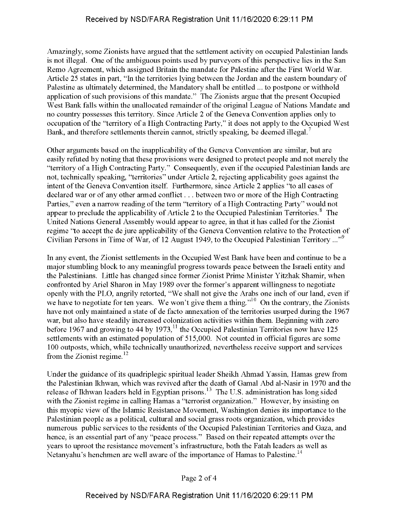Amazingly, some Zionists have argued that the settlement activity on occupied Palestinian lands is not illegal. One of the ambiguous points used by purveyors of this perspective lies in the San Remo Agreement, which assigned Britain the mandate for Palestine after the First World War. Article 25 states in part, "In the territories lying between the Jordan and the eastern boundary of Palestine as ultimately determined, the Mandatory shall be entitled ... to postpone or withhold application of such provisions of this mandate." The Zionists argue that the present Occupied West Bank falls within the unallocated remainder of the original League of Nations Mandate and no country possesses this territory. Since Article 2 of the Geneva Convention applies only to occupation of the "territory of a High Contracting Party," it does not apply to the Occupied West Bank, and therefore settlements therein cannot, strictly speaking, be deemed illegal.<sup>7</sup>

Other arguments based on the inapplicability of the Geneva Convention are similar, but are easily refuted by noting that these provisions were designed to protect people and not merely the "territory of a High Contracting Party." Consequently, even if the occupied Palestinian lands are not, technically speaking, "territories" under Article 2, rejecting applicability goes against the intent of the Geneva Convention itself. Furthermore, since Article 2 applies "to all cases of declared war or of any other armed conflict... between two or more of the High Contracting Parties," even a narrow reading of the term "territory of a High Contracting Party" would not appear to preclude the applicability of Article 2 to the Occupied Palestinian Territories.<sup>8</sup> The United Nations General Assembly would appear to agree, in that it has called for the Zionist regime "to accept the de jure applicability of the Geneva Convention relative to the Protection of Civilian Persons in Time of War, of 12 August 1949, to the Occupied Palestinian Territory ..."9

In any event, the Zionist settlements in the Occupied West Bank have been and continue to be a major stumbling block to any meaningful progress towards peace between the Israeli entity and the Palestinians. Little has changed since former Zionist Prime Minister Yitzhak Shamir, when confronted by Ariel Sharon in May 1989 over the former's apparent willingness to negotiate openly with the PLO, angrily retorted, "We shall not give the Arabs one inch of our land, even if we have to negotiate for ten years. We won't give them a thing."<sup>10</sup> On the contrary, the Zionists have not only maintained a state of de facto annexation of the territories usurped during the 1967 war, but also have steadily increased colonization activities within them. Beginning with zero before 1967 and growing to 44 by 1973, $^{11}$  the Occupied Palestinian Territories now have 125 settlements with an estimated population of 515,000. Not counted in official figures are some 100 outposts, which, while technically unauthorized, nevertheless receive support and services from the Zionist regime. $12$ 

Under the guidance of its quadriplegic spiritual leader Sheikh Ahmad Yassin, Hamas grew from the Palestinian Ikhwan, which was revived after the death of Gamal Abd al-Nasir in 1970 and the release of Ikhwan leaders held in Egyptian prisons.<sup>13</sup> The U.S. administration has long sided with the Zionist regime in calling Hamas a "terrorist organization." However, by insisting on this myopic view ofthe Islamic Resistance Movement, Washington denies its importance to the Palestinian people as a political, cultural and social grass roots organization, which provides numerous public services to the residents of the Occupied Palestinian Territories and Gaza, and hence, is an essential part of any "peace process." Based on their repeated attempts over the years to uproot the resistance movement's infrastructure, both the Fatah leaders as well as Netanyahu's henchmen are well aware of the importance of Hamas to Palestine.<sup>14</sup>

Page 2 of 4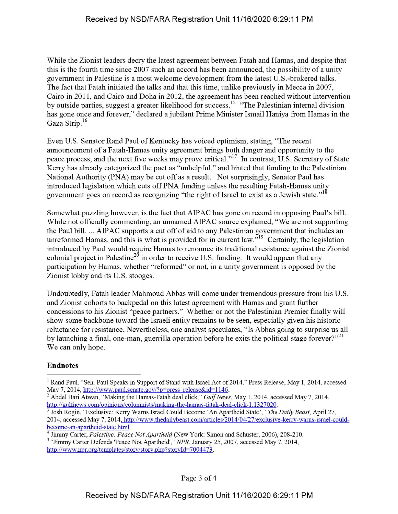While the Zionist leaders decry the latest agreement between Fatah and Hamas, and despite that this is the fourth time since 2007 such an accord has been announced, the possibility of a unity government in Palestine is a most welcome development from the latest U.S.-brokered talks. The fact that Fatah initiated the talks and that this time, unlike previously in Mecca in 2007, Cairo in 2011, and Cairo and Doha in 2012, the agreement has been reached without intervention by outside parties, suggest a greater likelihood for success.<sup>15</sup> "The Palestinian internal division has gone once and forever," declared a jubilant Prime Minister Ismail Haniya from Hamas in the Gaza Strip.<sup>16</sup>

Even U.S. Senator Rand Paul of Kentucky has voiced optimism, stating, "The recent announcement of a Fatah-Hamas unity agreement brings both danger and opportunity to the peace process, and the next five weeks may prove critical."17 In contrast, U.S. Secretary of State Kerry has already categorized the pact as "unhelpful," and hinted that funding to the Palestinian National Authority (PNA) may be cut off as a result. Not surprisingly, Senator Paul has introduced legislation which cuts offPNA funding unless the resulting Fatah-Hamas unity government goes on record as recognizing "the right of Israel to exist as a Jewish state."<sup>18</sup>

Somewhat puzzling however, is the fact that AIPAC has gone on record in opposing Paul's bill. While not officially commenting, an unnamed AIPAC source explained, "We are not supporting the Paul bill. ... AIPAC supports a cut off of aid to any Palestinian government that includes an unreformed Hamas, and this is what is provided for in current law."<sup>19</sup> Certainly, the legislation introduced by Paul would require Hamas to renounce its traditional resistance against the Zionist colonial project in Palestine<sup>20</sup> in order to receive U.S. funding. It would appear that any participation by Hamas, whether "reformed" or not, in a unity government is opposed by the Zionist lobby and its U.S. stooges.

Undoubtedly, Fatah leader Mahmoud Abbas will come under tremendous pressure from his U.S. and Zionist cohorts to backpedal on this latest agreement with Hamas and grant further concessions to his Zionist "peace partners." Whether or not the Palestinian Premier finally will show some backbone toward the Israeli entity remains to be seen, especially given his historic reluctance for resistance. Nevertheless, one analyst speculates, "Is Abbas going to surprise us all by launching a final, one-man, guerrilla operation before he exits the political stage forever?"<sup>21</sup> We can only hope.

## Endnotes

<sup>&</sup>lt;sup>1</sup> Rand Paul, "Sen. Paul Speaks in Support of Stand with Israel Act of 2014," Press Release, May 1, 2014, accessed May 7, 2014, http://www.paul.senate.gov/?p=press release&id=1146.

<sup>&</sup>lt;sup>2</sup> Abdel Bari Atwan, "Making the Hamas-Fatah deal click," *Gulf News*, May 1, 2014, accessed May 7, 2014, http://gulfnews.com/opinions/columnists/making-the-hamas-fatah-deal-click-1.1327020.

<sup>3</sup> Josh Rogin, "Exclusive: Kerry Warns Israel Could Become 'An Apartheid State'," *The Daily Beast,* April 27, 2014, accessed May 7, 2014. http://www.thedailvbeast.com/articles/2014/04/27/exclusive-kerry-wams-israel-couldbecome-an-apartheid-state.html.

<sup>&</sup>lt;sup>4</sup> Jimmy Carter, *Palestine: Peace Not Apartheid* (New York: Simon and Schuster, 2006), 208-210.

<sup>5</sup> "Jimmy Carter Defends 'Peace Not Apartheid'," *NPR,* January 25, 2007, accessed May 7, 2014, http://www.npr.org/templates/story/story.php?storyId=7004473.